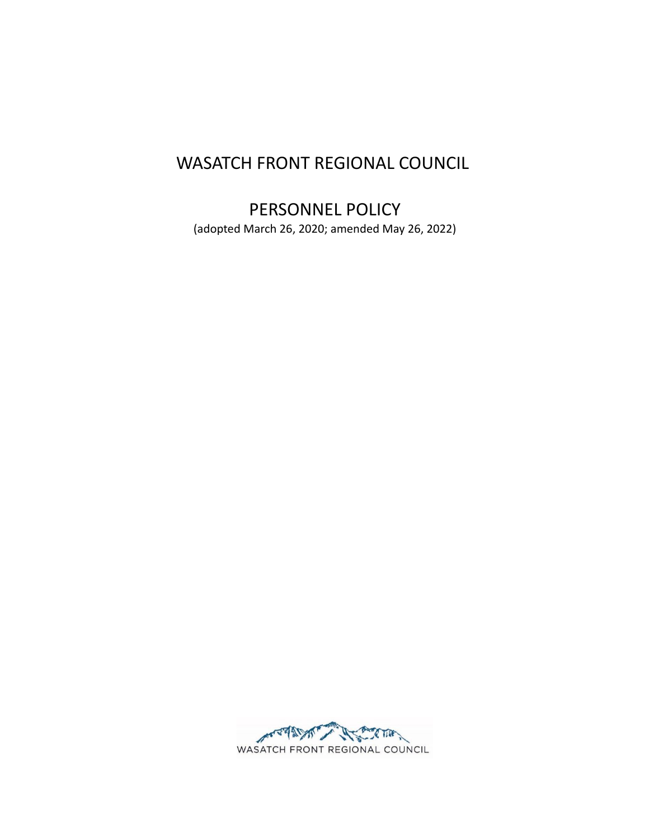# WASATCH FRONT REGIONAL COUNCIL

# PERSONNEL POLICY

(adopted March 26, 2020; amended May 26, 2022)

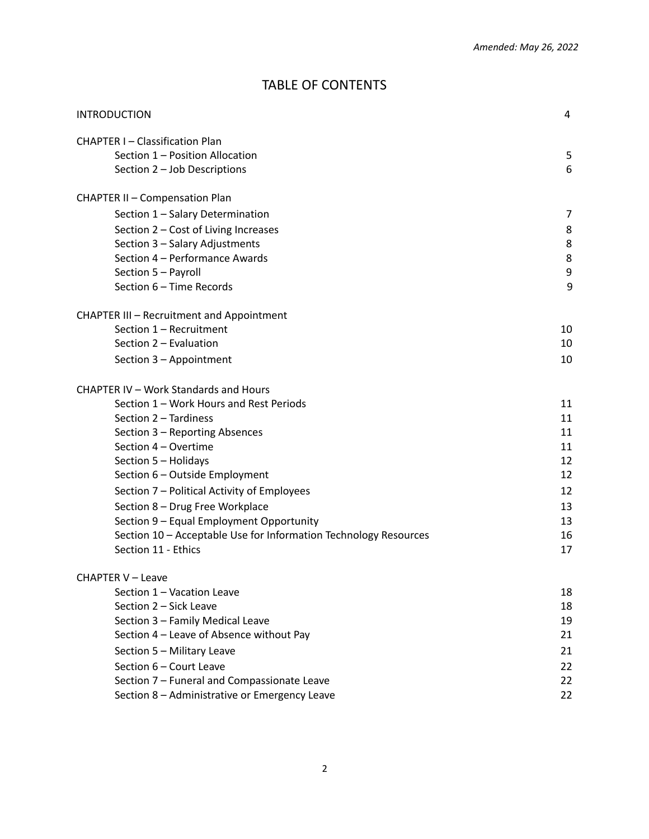# TABLE OF CONTENTS

| INTRODUCTION                                                     |    |  |
|------------------------------------------------------------------|----|--|
| <b>CHAPTER I-Classification Plan</b>                             |    |  |
| Section 1 - Position Allocation                                  | 5  |  |
| Section 2 - Job Descriptions                                     | 6  |  |
| <b>CHAPTER II - Compensation Plan</b>                            |    |  |
| Section 1 - Salary Determination                                 | 7  |  |
| Section 2 - Cost of Living Increases                             | 8  |  |
| Section 3 - Salary Adjustments                                   | 8  |  |
| Section 4 - Performance Awards                                   | 8  |  |
| Section 5 - Payroll                                              | 9  |  |
| Section 6 - Time Records                                         | 9  |  |
| <b>CHAPTER III - Recruitment and Appointment</b>                 |    |  |
| Section 1 - Recruitment                                          | 10 |  |
| Section 2 - Evaluation                                           | 10 |  |
| Section 3 - Appointment                                          | 10 |  |
| CHAPTER IV - Work Standards and Hours                            |    |  |
| Section 1 - Work Hours and Rest Periods                          | 11 |  |
| Section 2 - Tardiness                                            | 11 |  |
| Section 3 - Reporting Absences                                   | 11 |  |
| Section 4 - Overtime                                             | 11 |  |
| Section 5 - Holidays                                             | 12 |  |
| Section 6 - Outside Employment                                   | 12 |  |
| Section 7 - Political Activity of Employees                      | 12 |  |
| Section 8 - Drug Free Workplace                                  | 13 |  |
| Section 9 - Equal Employment Opportunity                         | 13 |  |
| Section 10 - Acceptable Use for Information Technology Resources | 16 |  |
| Section 11 - Ethics                                              | 17 |  |
| CHAPTER V - Leave                                                |    |  |
| Section 1 - Vacation Leave                                       | 18 |  |
| Section 2 - Sick Leave                                           | 18 |  |
| Section 3 - Family Medical Leave                                 | 19 |  |
| Section 4 - Leave of Absence without Pay                         | 21 |  |
| Section 5 - Military Leave                                       | 21 |  |
| Section 6 - Court Leave                                          | 22 |  |
| Section 7 - Funeral and Compassionate Leave                      | 22 |  |
| Section 8 - Administrative or Emergency Leave                    | 22 |  |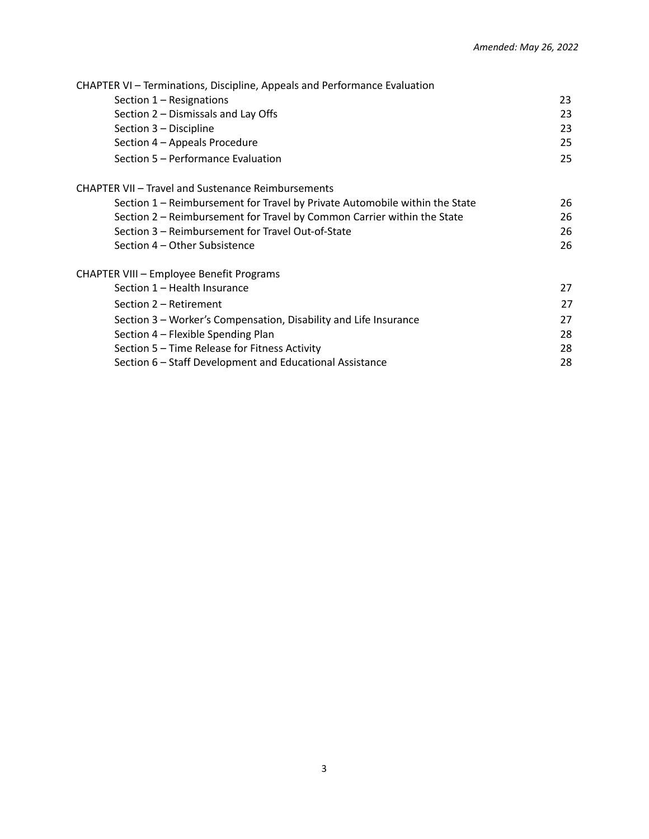| CHAPTER VI – Terminations, Discipline, Appeals and Performance Evaluation   |    |
|-----------------------------------------------------------------------------|----|
| Section 1 - Resignations                                                    | 23 |
| Section 2 – Dismissals and Lay Offs                                         | 23 |
| Section 3 - Discipline                                                      | 23 |
| Section 4 - Appeals Procedure                                               | 25 |
| Section 5 – Performance Evaluation                                          | 25 |
| <b>CHAPTER VII - Travel and Sustenance Reimbursements</b>                   |    |
| Section 1 - Reimbursement for Travel by Private Automobile within the State | 26 |
| Section 2 - Reimbursement for Travel by Common Carrier within the State     | 26 |
| Section 3 – Reimbursement for Travel Out-of-State                           | 26 |
| Section 4 – Other Subsistence                                               | 26 |
| CHAPTER VIII - Employee Benefit Programs                                    |    |
| Section 1 - Health Insurance                                                | 27 |
| Section 2 – Retirement                                                      | 27 |
| Section 3 - Worker's Compensation, Disability and Life Insurance            | 27 |
| Section 4 - Flexible Spending Plan                                          | 28 |
| Section 5 - Time Release for Fitness Activity                               | 28 |
| Section 6 – Staff Development and Educational Assistance                    | 28 |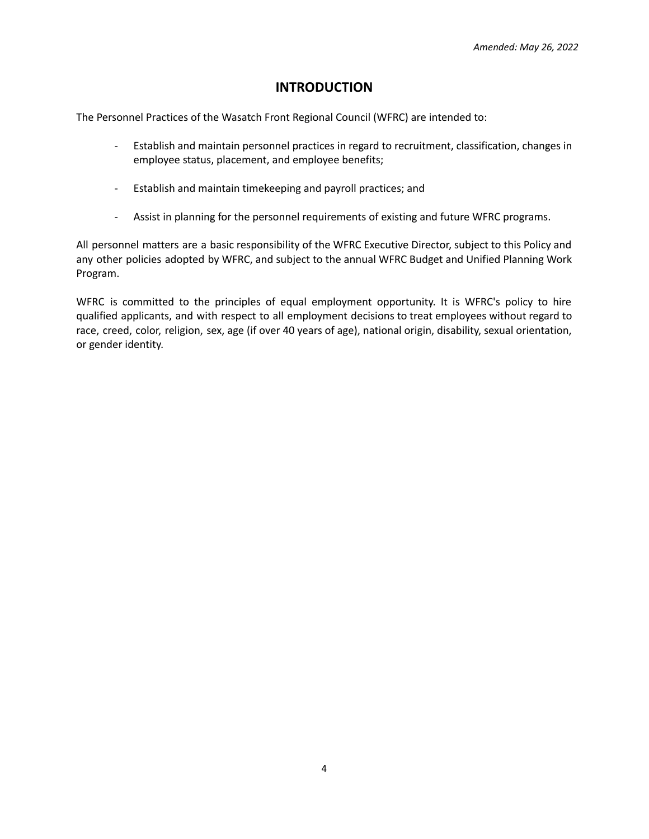## **INTRODUCTION**

<span id="page-3-0"></span>The Personnel Practices of the Wasatch Front Regional Council (WFRC) are intended to:

- Establish and maintain personnel practices in regard to recruitment, classification, changes in employee status, placement, and employee benefits;
- Establish and maintain timekeeping and payroll practices; and
- Assist in planning for the personnel requirements of existing and future WFRC programs.

All personnel matters are a basic responsibility of the WFRC Executive Director, subject to this Policy and any other policies adopted by WFRC, and subject to the annual WFRC Budget and Unified Planning Work Program.

WFRC is committed to the principles of equal employment opportunity. It is WFRC's policy to hire qualified applicants, and with respect to all employment decisions to treat employees without regard to race, creed, color, religion, sex, age (if over 40 years of age), national origin, disability, sexual orientation, or gender identity.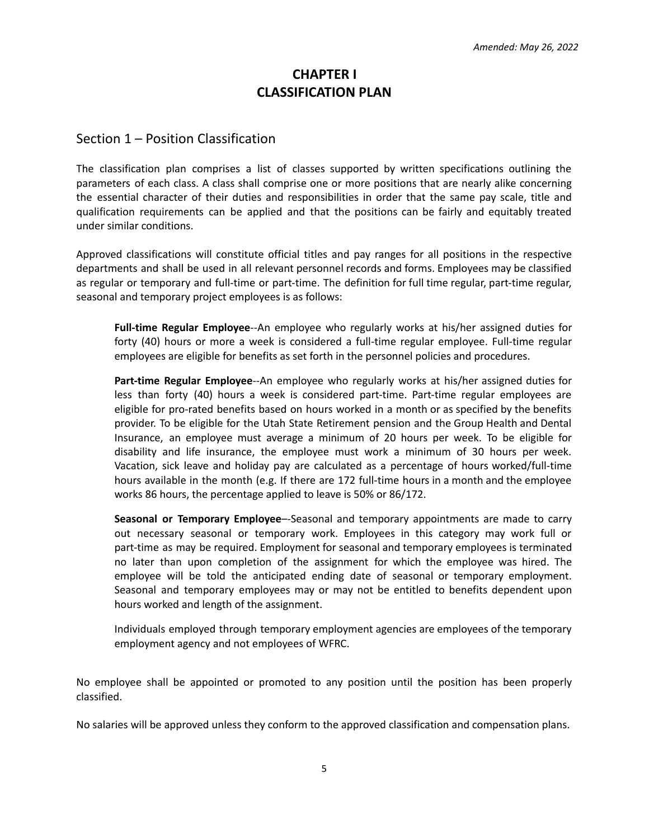# **CHAPTER I CLASSIFICATION PLAN**

### <span id="page-4-0"></span>Section 1 – Position Classification

The classification plan comprises a list of classes supported by written specifications outlining the parameters of each class. A class shall comprise one or more positions that are nearly alike concerning the essential character of their duties and responsibilities in order that the same pay scale, title and qualification requirements can be applied and that the positions can be fairly and equitably treated under similar conditions.

Approved classifications will constitute official titles and pay ranges for all positions in the respective departments and shall be used in all relevant personnel records and forms. Employees may be classified as regular or temporary and full-time or part-time. The definition for full time regular, part-time regular, seasonal and temporary project employees is as follows:

**Full-time Regular Employee**--An employee who regularly works at his/her assigned duties for forty (40) hours or more a week is considered a full-time regular employee. Full-time regular employees are eligible for benefits as set forth in the personnel policies and procedures.

**Part-time Regular Employee**--An employee who regularly works at his/her assigned duties for less than forty (40) hours a week is considered part-time. Part-time regular employees are eligible for pro-rated benefits based on hours worked in a month or as specified by the benefits provider. To be eligible for the Utah State Retirement pension and the Group Health and Dental Insurance, an employee must average a minimum of 20 hours per week. To be eligible for disability and life insurance, the employee must work a minimum of 30 hours per week. Vacation, sick leave and holiday pay are calculated as a percentage of hours worked/full-time hours available in the month (e.g. If there are 172 full-time hours in a month and the employee works 86 hours, the percentage applied to leave is 50% or 86/172.

**Seasonal or Temporary Employee**–-Seasonal and temporary appointments are made to carry out necessary seasonal or temporary work. Employees in this category may work full or part-time as may be required. Employment for seasonal and temporary employees is terminated no later than upon completion of the assignment for which the employee was hired. The employee will be told the anticipated ending date of seasonal or temporary employment. Seasonal and temporary employees may or may not be entitled to benefits dependent upon hours worked and length of the assignment.

Individuals employed through temporary employment agencies are employees of the temporary employment agency and not employees of WFRC.

No employee shall be appointed or promoted to any position until the position has been properly classified.

No salaries will be approved unless they conform to the approved classification and compensation plans.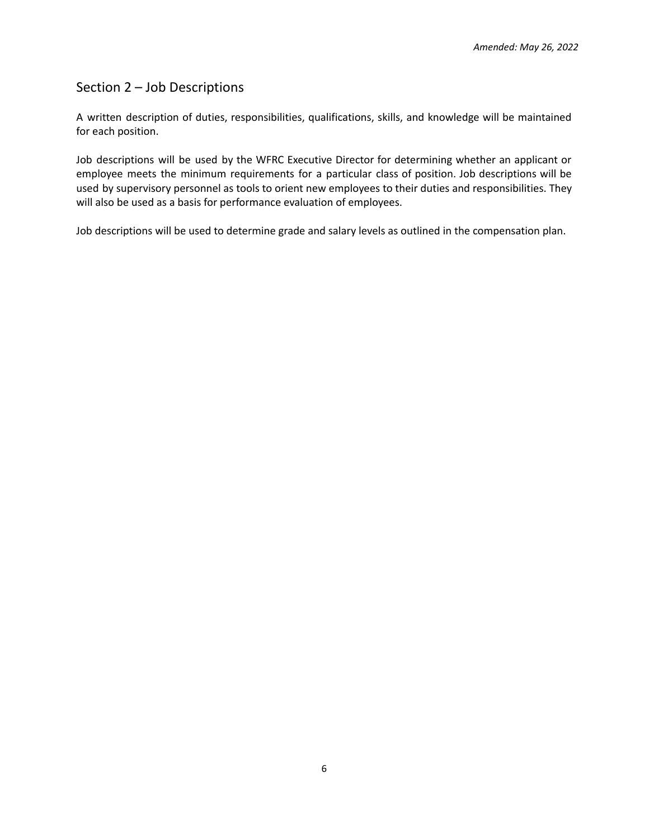# Section 2 – Job Descriptions

A written description of duties, responsibilities, qualifications, skills, and knowledge will be maintained for each position.

Job descriptions will be used by the WFRC Executive Director for determining whether an applicant or employee meets the minimum requirements for a particular class of position. Job descriptions will be used by supervisory personnel as tools to orient new employees to their duties and responsibilities. They will also be used as a basis for performance evaluation of employees.

Job descriptions will be used to determine grade and salary levels as outlined in the compensation plan.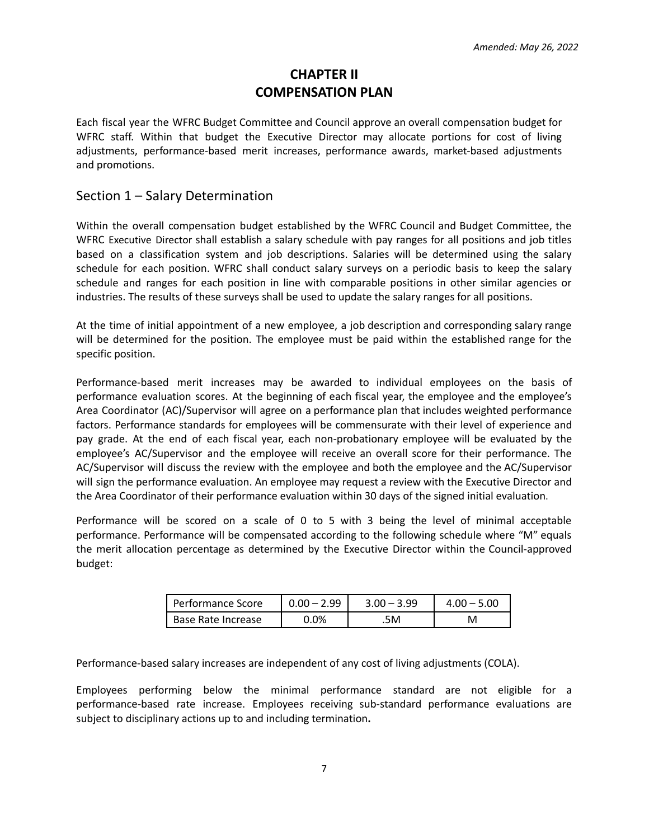# **CHAPTER II COMPENSATION PLAN**

<span id="page-6-0"></span>Each fiscal year the WFRC Budget Committee and Council approve an overall compensation budget for WFRC staff. Within that budget the Executive Director may allocate portions for cost of living adjustments, performance-based merit increases, performance awards, market-based adjustments and promotions.

### <span id="page-6-1"></span>Section 1 – Salary Determination

Within the overall compensation budget established by the WFRC Council and Budget Committee, the WFRC Executive Director shall establish a salary schedule with pay ranges for all positions and job titles based on a classification system and job descriptions. Salaries will be determined using the salary schedule for each position. WFRC shall conduct salary surveys on a periodic basis to keep the salary schedule and ranges for each position in line with comparable positions in other similar agencies or industries. The results of these surveys shall be used to update the salary ranges for all positions.

At the time of initial appointment of a new employee, a job description and corresponding salary range will be determined for the position. The employee must be paid within the established range for the specific position.

Performance-based merit increases may be awarded to individual employees on the basis of performance evaluation scores. At the beginning of each fiscal year, the employee and the employee's Area Coordinator (AC)/Supervisor will agree on a performance plan that includes weighted performance factors. Performance standards for employees will be commensurate with their level of experience and pay grade. At the end of each fiscal year, each non-probationary employee will be evaluated by the employee's AC/Supervisor and the employee will receive an overall score for their performance. The AC/Supervisor will discuss the review with the employee and both the employee and the AC/Supervisor will sign the performance evaluation. An employee may request a review with the Executive Director and the Area Coordinator of their performance evaluation within 30 days of the signed initial evaluation.

Performance will be scored on a scale of 0 to 5 with 3 being the level of minimal acceptable performance. Performance will be compensated according to the following schedule where "M" equals the merit allocation percentage as determined by the Executive Director within the Council-approved budget:

| Performance Score  | $0.00 - 2.99$ | $3.00 - 3.99$ | $4.00 - 5.00$ |
|--------------------|---------------|---------------|---------------|
| Base Rate Increase | 0%            | .5M           |               |

Performance-based salary increases are independent of any cost of living adjustments (COLA).

Employees performing below the minimal performance standard are not eligible for a performance-based rate increase. Employees receiving sub-standard performance evaluations are subject to disciplinary actions up to and including termination**.**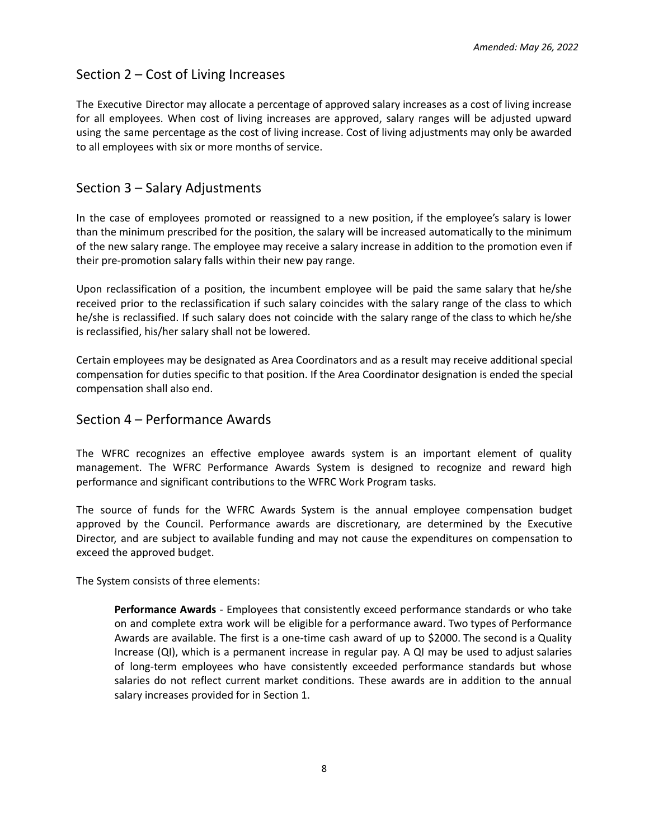### <span id="page-7-0"></span>Section 2 – Cost of Living Increases

The Executive Director may allocate a percentage of approved salary increases as a cost of living increase for all employees. When cost of living increases are approved, salary ranges will be adjusted upward using the same percentage as the cost of living increase. Cost of living adjustments may only be awarded to all employees with six or more months of service.

### <span id="page-7-1"></span>Section 3 – Salary Adjustments

In the case of employees promoted or reassigned to a new position, if the employee's salary is lower than the minimum prescribed for the position, the salary will be increased automatically to the minimum of the new salary range. The employee may receive a salary increase in addition to the promotion even if their pre-promotion salary falls within their new pay range.

Upon reclassification of a position, the incumbent employee will be paid the same salary that he/she received prior to the reclassification if such salary coincides with the salary range of the class to which he/she is reclassified. If such salary does not coincide with the salary range of the class to which he/she is reclassified, his/her salary shall not be lowered.

Certain employees may be designated as Area Coordinators and as a result may receive additional special compensation for duties specific to that position. If the Area Coordinator designation is ended the special compensation shall also end.

### <span id="page-7-2"></span>Section 4 – Performance Awards

The WFRC recognizes an effective employee awards system is an important element of quality management. The WFRC Performance Awards System is designed to recognize and reward high performance and significant contributions to the WFRC Work Program tasks.

The source of funds for the WFRC Awards System is the annual employee compensation budget approved by the Council. Performance awards are discretionary, are determined by the Executive Director, and are subject to available funding and may not cause the expenditures on compensation to exceed the approved budget.

The System consists of three elements:

**Performance Awards** - Employees that consistently exceed performance standards or who take on and complete extra work will be eligible for a performance award. Two types of Performance Awards are available. The first is a one-time cash award of up to \$2000. The second is a Quality Increase (QI), which is a permanent increase in regular pay. A QI may be used to adjust salaries of long-term employees who have consistently exceeded performance standards but whose salaries do not reflect current market conditions. These awards are in addition to the annual salary increases provided for in Section 1.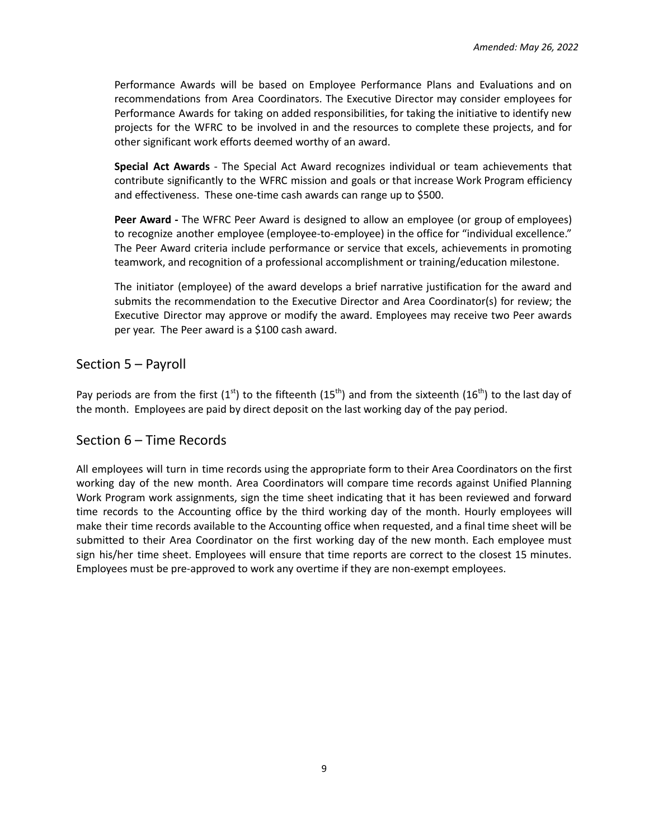Performance Awards will be based on Employee Performance Plans and Evaluations and on recommendations from Area Coordinators. The Executive Director may consider employees for Performance Awards for taking on added responsibilities, for taking the initiative to identify new projects for the WFRC to be involved in and the resources to complete these projects, and for other significant work efforts deemed worthy of an award.

**Special Act Awards** - The Special Act Award recognizes individual or team achievements that contribute significantly to the WFRC mission and goals or that increase Work Program efficiency and effectiveness. These one-time cash awards can range up to \$500.

**Peer Award -** The WFRC Peer Award is designed to allow an employee (or group of employees) to recognize another employee (employee-to-employee) in the office for "individual excellence." The Peer Award criteria include performance or service that excels, achievements in promoting teamwork, and recognition of a professional accomplishment or training/education milestone.

The initiator (employee) of the award develops a brief narrative justification for the award and submits the recommendation to the Executive Director and Area Coordinator(s) for review; the Executive Director may approve or modify the award. Employees may receive two Peer awards per year. The Peer award is a \$100 cash award.

## <span id="page-8-0"></span>Section 5 – Payroll

Pay periods are from the first (1<sup>st</sup>) to the fifteenth (15<sup>th</sup>) and from the sixteenth (16<sup>th</sup>) to the last day of the month. Employees are paid by direct deposit on the last working day of the pay period.

## <span id="page-8-1"></span>Section 6 – Time Records

All employees will turn in time records using the appropriate form to their Area Coordinators on the first working day of the new month. Area Coordinators will compare time records against Unified Planning Work Program work assignments, sign the time sheet indicating that it has been reviewed and forward time records to the Accounting office by the third working day of the month. Hourly employees will make their time records available to the Accounting office when requested, and a final time sheet will be submitted to their Area Coordinator on the first working day of the new month. Each employee must sign his/her time sheet. Employees will ensure that time reports are correct to the closest 15 minutes. Employees must be pre-approved to work any overtime if they are non-exempt employees.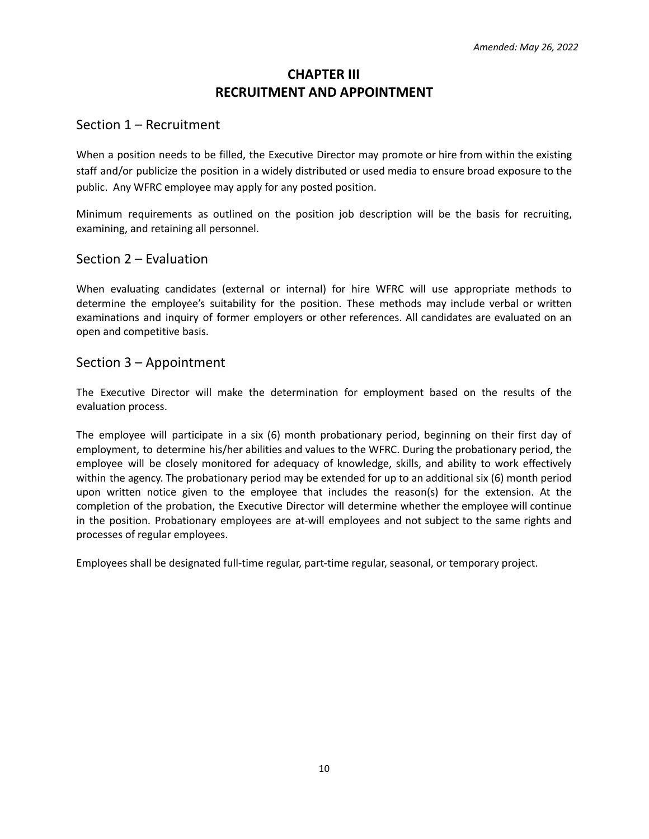# **CHAPTER III RECRUITMENT AND APPOINTMENT**

### <span id="page-9-1"></span><span id="page-9-0"></span>Section 1 – Recruitment

When a position needs to be filled, the Executive Director may promote or hire from within the existing staff and/or publicize the position in a widely distributed or used media to ensure broad exposure to the public. Any WFRC employee may apply for any posted position.

Minimum requirements as outlined on the position job description will be the basis for recruiting, examining, and retaining all personnel.

### <span id="page-9-2"></span>Section 2 – Evaluation

When evaluating candidates (external or internal) for hire WFRC will use appropriate methods to determine the employee's suitability for the position. These methods may include verbal or written examinations and inquiry of former employers or other references. All candidates are evaluated on an open and competitive basis.

### <span id="page-9-3"></span>Section 3 – Appointment

The Executive Director will make the determination for employment based on the results of the evaluation process.

The employee will participate in a six (6) month probationary period, beginning on their first day of employment, to determine his/her abilities and values to the WFRC. During the probationary period, the employee will be closely monitored for adequacy of knowledge, skills, and ability to work effectively within the agency. The probationary period may be extended for up to an additional six (6) month period upon written notice given to the employee that includes the reason(s) for the extension. At the completion of the probation, the Executive Director will determine whether the employee will continue in the position. Probationary employees are at-will employees and not subject to the same rights and processes of regular employees.

Employees shall be designated full-time regular, part-time regular, seasonal, or temporary project.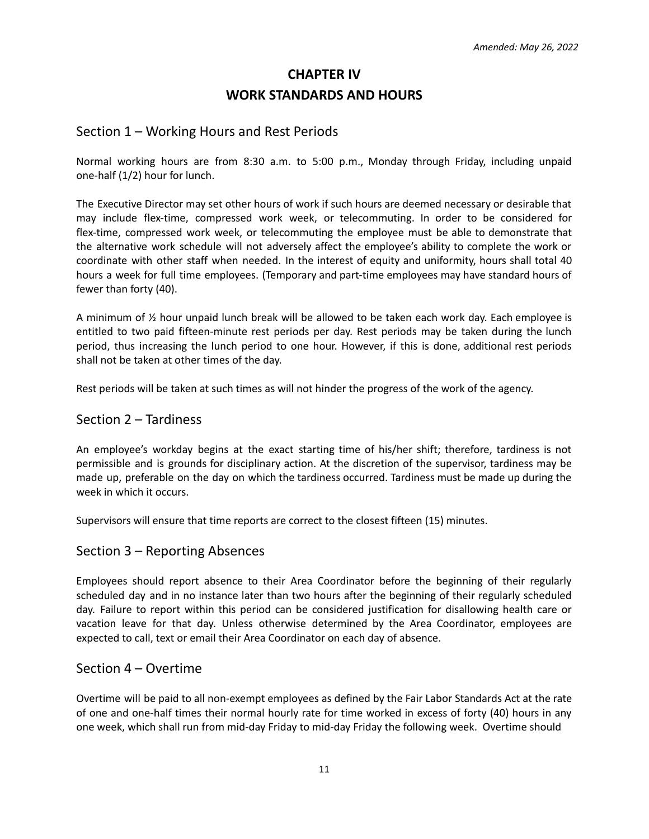# **CHAPTER IV WORK STANDARDS AND HOURS**

### Section 1 – Working Hours and Rest Periods

Normal working hours are from 8:30 a.m. to 5:00 p.m., Monday through Friday, including unpaid one-half (1/2) hour for lunch.

The Executive Director may set other hours of work if such hours are deemed necessary or desirable that may include flex-time, compressed work week, or telecommuting. In order to be considered for flex-time, compressed work week, or telecommuting the employee must be able to demonstrate that the alternative work schedule will not adversely affect the employee's ability to complete the work or coordinate with other staff when needed. In the interest of equity and uniformity, hours shall total 40 hours a week for full time employees. (Temporary and part-time employees may have standard hours of fewer than forty (40).

A minimum of ½ hour unpaid lunch break will be allowed to be taken each work day. Each employee is entitled to two paid fifteen-minute rest periods per day. Rest periods may be taken during the lunch period, thus increasing the lunch period to one hour. However, if this is done, additional rest periods shall not be taken at other times of the day.

Rest periods will be taken at such times as will not hinder the progress of the work of the agency.

### <span id="page-10-0"></span>Section 2 – Tardiness

An employee's workday begins at the exact starting time of his/her shift; therefore, tardiness is not permissible and is grounds for disciplinary action. At the discretion of the supervisor, tardiness may be made up, preferable on the day on which the tardiness occurred. Tardiness must be made up during the week in which it occurs.

Supervisors will ensure that time reports are correct to the closest fifteen (15) minutes.

### <span id="page-10-1"></span>Section 3 – Reporting Absences

Employees should report absence to their Area Coordinator before the beginning of their regularly scheduled day and in no instance later than two hours after the beginning of their regularly scheduled day. Failure to report within this period can be considered justification for disallowing health care or vacation leave for that day. Unless otherwise determined by the Area Coordinator, employees are expected to call, text or email their Area Coordinator on each day of absence.

### <span id="page-10-2"></span>Section 4 – Overtime

Overtime will be paid to all non-exempt employees as defined by the Fair Labor Standards Act at the rate of one and one-half times their normal hourly rate for time worked in excess of forty (40) hours in any one week, which shall run from mid-day Friday to mid-day Friday the following week. Overtime should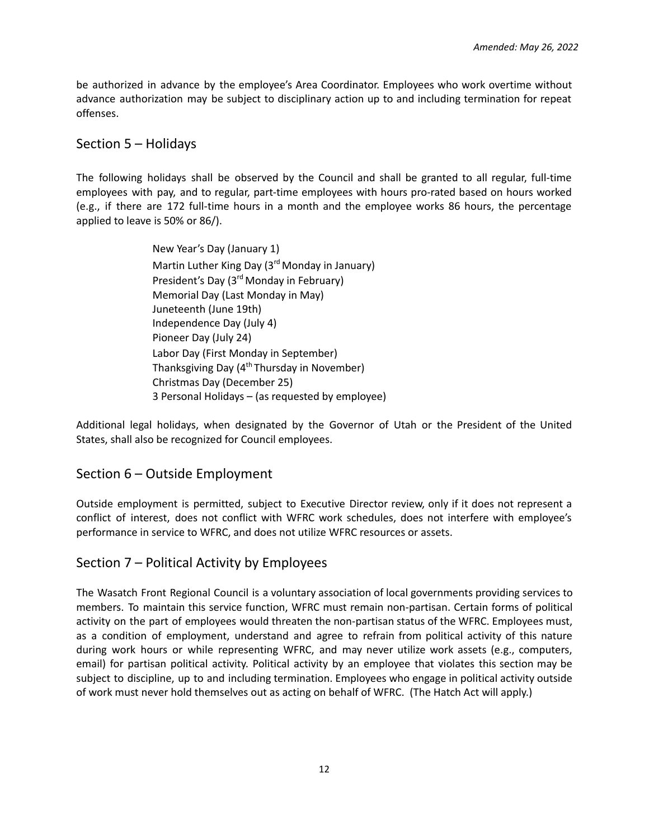be authorized in advance by the employee's Area Coordinator. Employees who work overtime without advance authorization may be subject to disciplinary action up to and including termination for repeat offenses.

### <span id="page-11-0"></span>Section 5 – Holidays

The following holidays shall be observed by the Council and shall be granted to all regular, full-time employees with pay, and to regular, part-time employees with hours pro-rated based on hours worked (e.g., if there are 172 full-time hours in a month and the employee works 86 hours, the percentage applied to leave is 50% or 86/).

> New Year's Day (January 1) Martin Luther King Day (3<sup>rd</sup> Monday in January) President's Day (3<sup>rd</sup> Monday in February) Memorial Day (Last Monday in May) Juneteenth (June 19th) Independence Day (July 4) Pioneer Day (July 24) Labor Day (First Monday in September) Thanksgiving Day (4<sup>th</sup> Thursday in November) Christmas Day (December 25) 3 Personal Holidays – (as requested by employee)

Additional legal holidays, when designated by the Governor of Utah or the President of the United States, shall also be recognized for Council employees.

### <span id="page-11-1"></span>Section 6 – Outside Employment

Outside employment is permitted, subject to Executive Director review, only if it does not represent a conflict of interest, does not conflict with WFRC work schedules, does not interfere with employee's performance in service to WFRC, and does not utilize WFRC resources or assets.

### Section 7 – Political Activity by Employees

The Wasatch Front Regional Council is a voluntary association of local governments providing services to members. To maintain this service function, WFRC must remain non-partisan. Certain forms of political activity on the part of employees would threaten the non-partisan status of the WFRC. Employees must, as a condition of employment, understand and agree to refrain from political activity of this nature during work hours or while representing WFRC, and may never utilize work assets (e.g., computers, email) for partisan political activity. Political activity by an employee that violates this section may be subject to discipline, up to and including termination. Employees who engage in political activity outside of work must never hold themselves out as acting on behalf of WFRC. (The Hatch Act will apply.)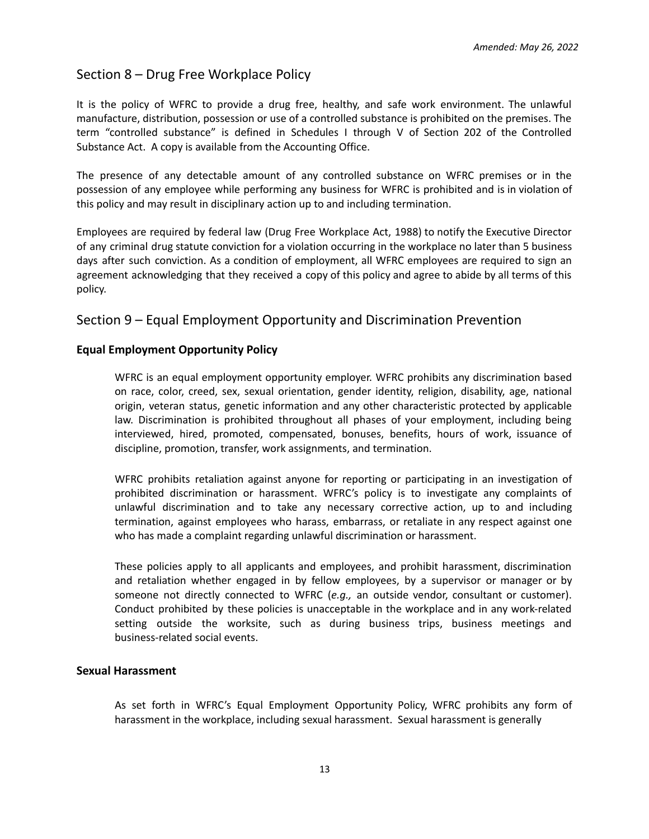# Section 8 – Drug Free Workplace Policy

It is the policy of WFRC to provide a drug free, healthy, and safe work environment. The unlawful manufacture, distribution, possession or use of a controlled substance is prohibited on the premises. The term "controlled substance" is defined in Schedules I through V of Section 202 of the Controlled Substance Act. A copy is available from the Accounting Office.

The presence of any detectable amount of any controlled substance on WFRC premises or in the possession of any employee while performing any business for WFRC is prohibited and is in violation of this policy and may result in disciplinary action up to and including termination.

Employees are required by federal law (Drug Free Workplace Act, 1988) to notify the Executive Director of any criminal drug statute conviction for a violation occurring in the workplace no later than 5 business days after such conviction. As a condition of employment, all WFRC employees are required to sign an agreement acknowledging that they received a copy of this policy and agree to abide by all terms of this policy.

### Section 9 – Equal Employment Opportunity and Discrimination Prevention

### **Equal Employment Opportunity Policy**

WFRC is an equal employment opportunity employer. WFRC prohibits any discrimination based on race, color, creed, sex, sexual orientation, gender identity, religion, disability, age, national origin, veteran status, genetic information and any other characteristic protected by applicable law. Discrimination is prohibited throughout all phases of your employment, including being interviewed, hired, promoted, compensated, bonuses, benefits, hours of work, issuance of discipline, promotion, transfer, work assignments, and termination.

WFRC prohibits retaliation against anyone for reporting or participating in an investigation of prohibited discrimination or harassment. WFRC's policy is to investigate any complaints of unlawful discrimination and to take any necessary corrective action, up to and including termination, against employees who harass, embarrass, or retaliate in any respect against one who has made a complaint regarding unlawful discrimination or harassment.

These policies apply to all applicants and employees, and prohibit harassment, discrimination and retaliation whether engaged in by fellow employees, by a supervisor or manager or by someone not directly connected to WFRC (*e.g.,* an outside vendor, consultant or customer). Conduct prohibited by these policies is unacceptable in the workplace and in any work-related setting outside the worksite, such as during business trips, business meetings and business-related social events.

#### **Sexual Harassment**

As set forth in WFRC's Equal Employment Opportunity Policy, WFRC prohibits any form of harassment in the workplace, including sexual harassment. Sexual harassment is generally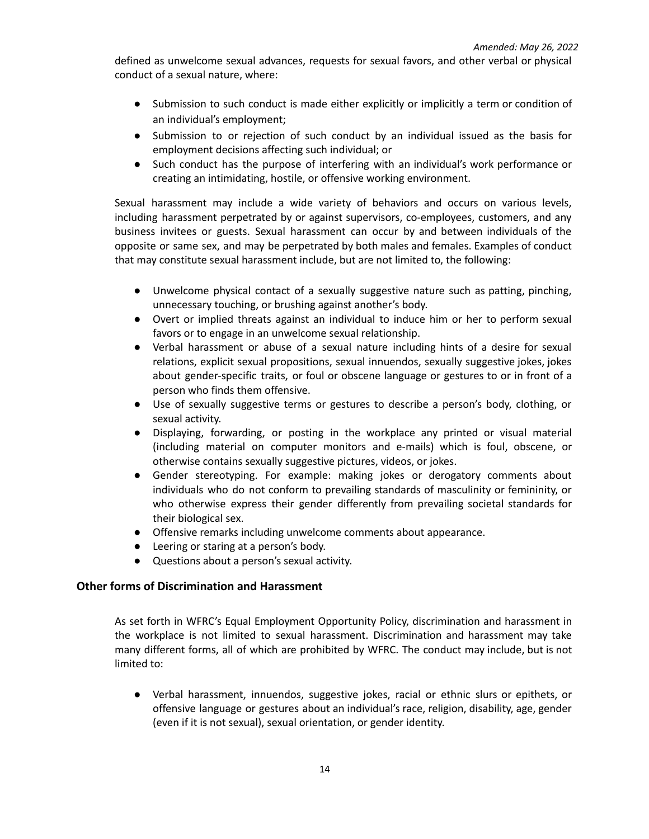defined as unwelcome sexual advances, requests for sexual favors, and other verbal or physical conduct of a sexual nature, where:

- Submission to such conduct is made either explicitly or implicitly a term or condition of an individual's employment;
- Submission to or rejection of such conduct by an individual issued as the basis for employment decisions affecting such individual; or
- Such conduct has the purpose of interfering with an individual's work performance or creating an intimidating, hostile, or offensive working environment.

Sexual harassment may include a wide variety of behaviors and occurs on various levels, including harassment perpetrated by or against supervisors, co-employees, customers, and any business invitees or guests. Sexual harassment can occur by and between individuals of the opposite or same sex, and may be perpetrated by both males and females. Examples of conduct that may constitute sexual harassment include, but are not limited to, the following:

- Unwelcome physical contact of a sexually suggestive nature such as patting, pinching, unnecessary touching, or brushing against another's body.
- Overt or implied threats against an individual to induce him or her to perform sexual favors or to engage in an unwelcome sexual relationship.
- Verbal harassment or abuse of a sexual nature including hints of a desire for sexual relations, explicit sexual propositions, sexual innuendos, sexually suggestive jokes, jokes about gender-specific traits, or foul or obscene language or gestures to or in front of a person who finds them offensive.
- Use of sexually suggestive terms or gestures to describe a person's body, clothing, or sexual activity.
- Displaying, forwarding, or posting in the workplace any printed or visual material (including material on computer monitors and e-mails) which is foul, obscene, or otherwise contains sexually suggestive pictures, videos, or jokes.
- Gender stereotyping. For example: making jokes or derogatory comments about individuals who do not conform to prevailing standards of masculinity or femininity, or who otherwise express their gender differently from prevailing societal standards for their biological sex.
- Offensive remarks including unwelcome comments about appearance.
- Leering or staring at a person's body.
- Questions about a person's sexual activity.

#### **Other forms of Discrimination and Harassment**

As set forth in WFRC's Equal Employment Opportunity Policy, discrimination and harassment in the workplace is not limited to sexual harassment. Discrimination and harassment may take many different forms, all of which are prohibited by WFRC. The conduct may include, but is not limited to:

● Verbal harassment, innuendos, suggestive jokes, racial or ethnic slurs or epithets, or offensive language or gestures about an individual's race, religion, disability, age, gender (even if it is not sexual), sexual orientation, or gender identity.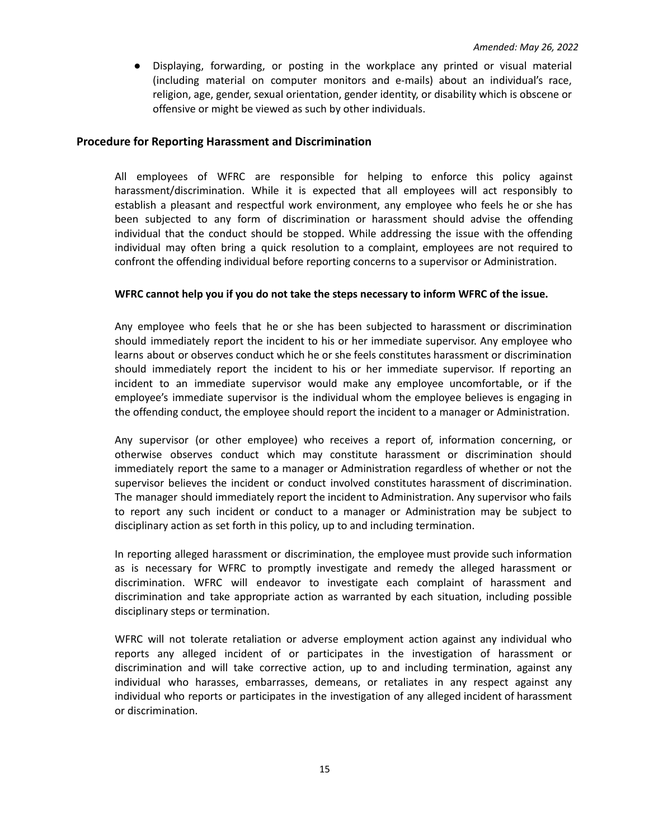● Displaying, forwarding, or posting in the workplace any printed or visual material (including material on computer monitors and e-mails) about an individual's race, religion, age, gender, sexual orientation, gender identity, or disability which is obscene or offensive or might be viewed as such by other individuals.

#### **Procedure for Reporting Harassment and Discrimination**

All employees of WFRC are responsible for helping to enforce this policy against harassment/discrimination. While it is expected that all employees will act responsibly to establish a pleasant and respectful work environment, any employee who feels he or she has been subjected to any form of discrimination or harassment should advise the offending individual that the conduct should be stopped. While addressing the issue with the offending individual may often bring a quick resolution to a complaint, employees are not required to confront the offending individual before reporting concerns to a supervisor or Administration.

#### **WFRC cannot help you if you do not take the steps necessary to inform WFRC of the issue.**

Any employee who feels that he or she has been subjected to harassment or discrimination should immediately report the incident to his or her immediate supervisor. Any employee who learns about or observes conduct which he or she feels constitutes harassment or discrimination should immediately report the incident to his or her immediate supervisor. If reporting an incident to an immediate supervisor would make any employee uncomfortable, or if the employee's immediate supervisor is the individual whom the employee believes is engaging in the offending conduct, the employee should report the incident to a manager or Administration.

Any supervisor (or other employee) who receives a report of, information concerning, or otherwise observes conduct which may constitute harassment or discrimination should immediately report the same to a manager or Administration regardless of whether or not the supervisor believes the incident or conduct involved constitutes harassment of discrimination. The manager should immediately report the incident to Administration. Any supervisor who fails to report any such incident or conduct to a manager or Administration may be subject to disciplinary action as set forth in this policy, up to and including termination.

In reporting alleged harassment or discrimination, the employee must provide such information as is necessary for WFRC to promptly investigate and remedy the alleged harassment or discrimination. WFRC will endeavor to investigate each complaint of harassment and discrimination and take appropriate action as warranted by each situation, including possible disciplinary steps or termination.

WFRC will not tolerate retaliation or adverse employment action against any individual who reports any alleged incident of or participates in the investigation of harassment or discrimination and will take corrective action, up to and including termination, against any individual who harasses, embarrasses, demeans, or retaliates in any respect against any individual who reports or participates in the investigation of any alleged incident of harassment or discrimination.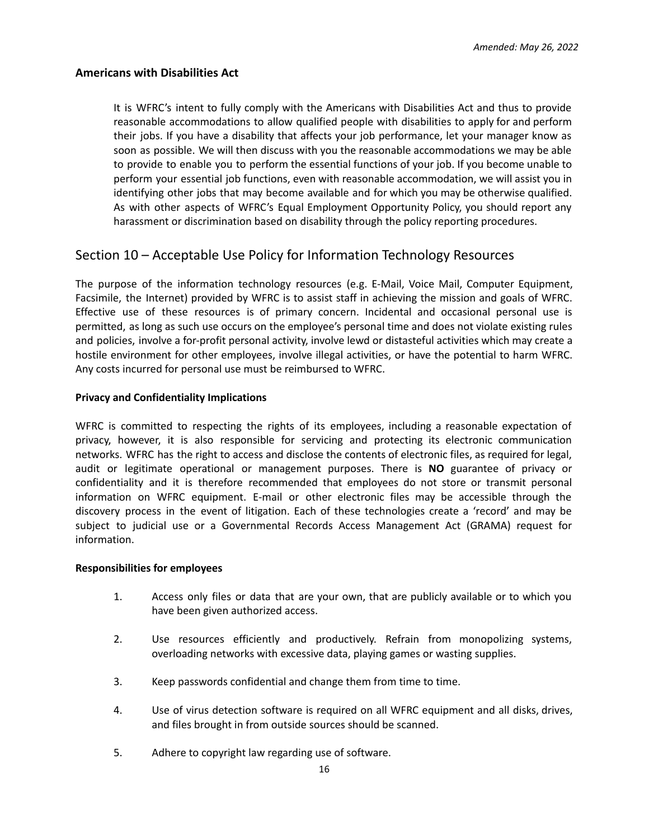#### **Americans with Disabilities Act**

It is WFRC's intent to fully comply with the Americans with Disabilities Act and thus to provide reasonable accommodations to allow qualified people with disabilities to apply for and perform their jobs. If you have a disability that affects your job performance, let your manager know as soon as possible. We will then discuss with you the reasonable accommodations we may be able to provide to enable you to perform the essential functions of your job. If you become unable to perform your essential job functions, even with reasonable accommodation, we will assist you in identifying other jobs that may become available and for which you may be otherwise qualified. As with other aspects of WFRC's Equal Employment Opportunity Policy, you should report any harassment or discrimination based on disability through the policy reporting procedures.

### Section 10 – Acceptable Use Policy for Information Technology Resources

The purpose of the information technology resources (e.g. E-Mail, Voice Mail, Computer Equipment, Facsimile, the Internet) provided by WFRC is to assist staff in achieving the mission and goals of WFRC. Effective use of these resources is of primary concern. Incidental and occasional personal use is permitted, as long as such use occurs on the employee's personal time and does not violate existing rules and policies, involve a for-profit personal activity, involve lewd or distasteful activities which may create a hostile environment for other employees, involve illegal activities, or have the potential to harm WFRC. Any costs incurred for personal use must be reimbursed to WFRC.

#### **Privacy and Confidentiality Implications**

WFRC is committed to respecting the rights of its employees, including a reasonable expectation of privacy, however, it is also responsible for servicing and protecting its electronic communication networks. WFRC has the right to access and disclose the contents of electronic files, as required for legal, audit or legitimate operational or management purposes. There is **NO** guarantee of privacy or confidentiality and it is therefore recommended that employees do not store or transmit personal information on WFRC equipment. E-mail or other electronic files may be accessible through the discovery process in the event of litigation. Each of these technologies create a 'record' and may be subject to judicial use or a Governmental Records Access Management Act (GRAMA) request for information.

#### **Responsibilities for employees**

- 1. Access only files or data that are your own, that are publicly available or to which you have been given authorized access.
- 2. Use resources efficiently and productively. Refrain from monopolizing systems, overloading networks with excessive data, playing games or wasting supplies.
- 3. Keep passwords confidential and change them from time to time.
- 4. Use of virus detection software is required on all WFRC equipment and all disks, drives, and files brought in from outside sources should be scanned.
- 5. Adhere to copyright law regarding use of software.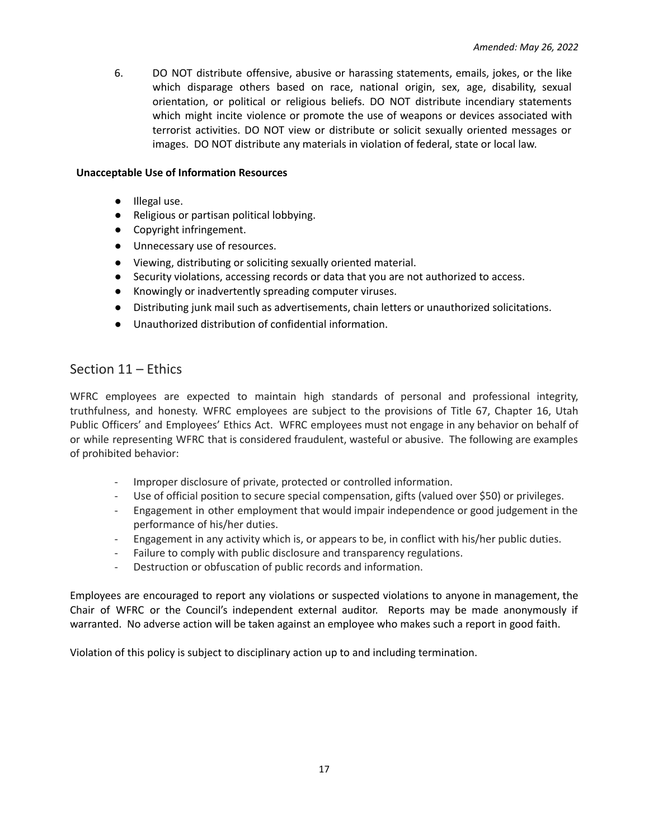6. DO NOT distribute offensive, abusive or harassing statements, emails, jokes, or the like which disparage others based on race, national origin, sex, age, disability, sexual orientation, or political or religious beliefs. DO NOT distribute incendiary statements which might incite violence or promote the use of weapons or devices associated with terrorist activities. DO NOT view or distribute or solicit sexually oriented messages or images. DO NOT distribute any materials in violation of federal, state or local law.

#### **Unacceptable Use of Information Resources**

- Illegal use.
- Religious or partisan political lobbying.
- Copyright infringement.
- Unnecessary use of resources.
- Viewing, distributing or soliciting sexually oriented material.
- Security violations, accessing records or data that you are not authorized to access.
- Knowingly or inadvertently spreading computer viruses.
- Distributing junk mail such as advertisements, chain letters or unauthorized solicitations.
- Unauthorized distribution of confidential information.

### Section 11 – Ethics

WFRC employees are expected to maintain high standards of personal and professional integrity, truthfulness, and honesty. WFRC employees are subject to the provisions of Title 67, Chapter 16, Utah Public Officers' and Employees' Ethics Act. WFRC employees must not engage in any behavior on behalf of or while representing WFRC that is considered fraudulent, wasteful or abusive. The following are examples of prohibited behavior:

- Improper disclosure of private, protected or controlled information.
- Use of official position to secure special compensation, gifts (valued over \$50) or privileges.
- Engagement in other employment that would impair independence or good judgement in the performance of his/her duties.
- Engagement in any activity which is, or appears to be, in conflict with his/her public duties.
- Failure to comply with public disclosure and transparency regulations.
- Destruction or obfuscation of public records and information.

Employees are encouraged to report any violations or suspected violations to anyone in management, the Chair of WFRC or the Council's independent external auditor. Reports may be made anonymously if warranted. No adverse action will be taken against an employee who makes such a report in good faith.

Violation of this policy is subject to disciplinary action up to and including termination.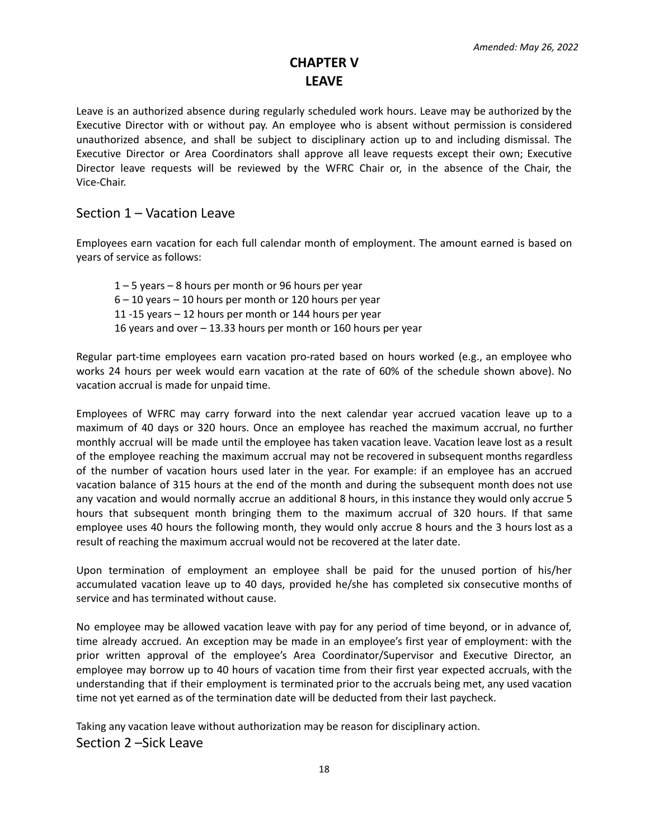# **CHAPTER V LEAVE**

<span id="page-17-0"></span>Leave is an authorized absence during regularly scheduled work hours. Leave may be authorized by the Executive Director with or without pay. An employee who is absent without permission is considered unauthorized absence, and shall be subject to disciplinary action up to and including dismissal. The Executive Director or Area Coordinators shall approve all leave requests except their own; Executive Director leave requests will be reviewed by the WFRC Chair or, in the absence of the Chair, the Vice-Chair.

### <span id="page-17-1"></span>Section 1 – Vacation Leave

Employees earn vacation for each full calendar month of employment. The amount earned is based on years of service as follows:

 – 5 years – 8 hours per month or 96 hours per year – 10 years – 10 hours per month or 120 hours per year -15 years – 12 hours per month or 144 hours per year years and over – 13.33 hours per month or 160 hours per year

Regular part-time employees earn vacation pro-rated based on hours worked (e.g., an employee who works 24 hours per week would earn vacation at the rate of 60% of the schedule shown above). No vacation accrual is made for unpaid time.

Employees of WFRC may carry forward into the next calendar year accrued vacation leave up to a maximum of 40 days or 320 hours. Once an employee has reached the maximum accrual, no further monthly accrual will be made until the employee has taken vacation leave. Vacation leave lost as a result of the employee reaching the maximum accrual may not be recovered in subsequent months regardless of the number of vacation hours used later in the year. For example: if an employee has an accrued vacation balance of 315 hours at the end of the month and during the subsequent month does not use any vacation and would normally accrue an additional 8 hours, in this instance they would only accrue 5 hours that subsequent month bringing them to the maximum accrual of 320 hours. If that same employee uses 40 hours the following month, they would only accrue 8 hours and the 3 hours lost as a result of reaching the maximum accrual would not be recovered at the later date.

Upon termination of employment an employee shall be paid for the unused portion of his/her accumulated vacation leave up to 40 days, provided he/she has completed six consecutive months of service and has terminated without cause.

No employee may be allowed vacation leave with pay for any period of time beyond, or in advance of, time already accrued. An exception may be made in an employee's first year of employment: with the prior written approval of the employee's Area Coordinator/Supervisor and Executive Director, an employee may borrow up to 40 hours of vacation time from their first year expected accruals, with the understanding that if their employment is terminated prior to the accruals being met, any used vacation time not yet earned as of the termination date will be deducted from their last paycheck.

<span id="page-17-2"></span>Taking any vacation leave without authorization may be reason for disciplinary action. Section 2 –Sick Leave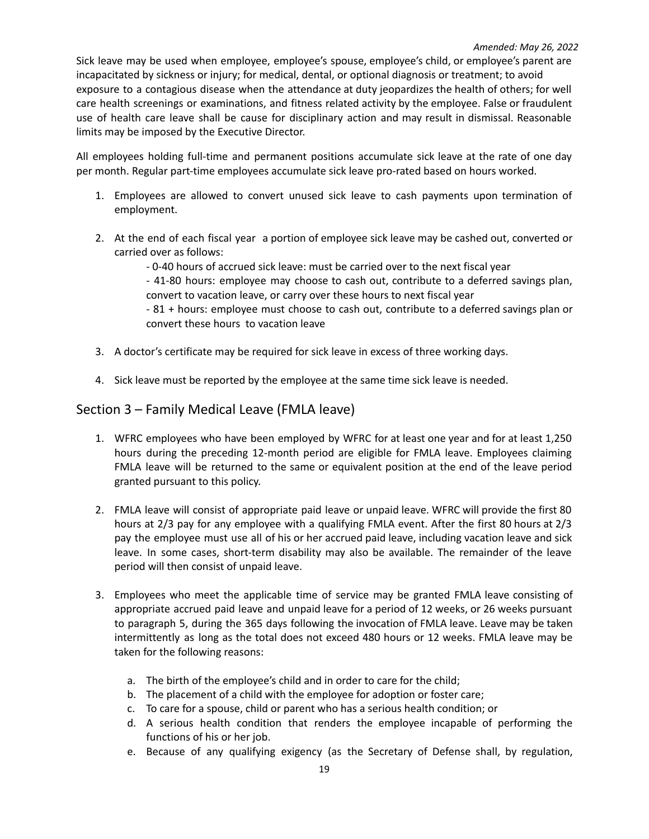Sick leave may be used when employee, employee's spouse, employee's child, or employee's parent are incapacitated by sickness or injury; for medical, dental, or optional diagnosis or treatment; to avoid exposure to a contagious disease when the attendance at duty jeopardizes the health of others; for well care health screenings or examinations, and fitness related activity by the employee. False or fraudulent use of health care leave shall be cause for disciplinary action and may result in dismissal. Reasonable limits may be imposed by the Executive Director.

All employees holding full-time and permanent positions accumulate sick leave at the rate of one day per month. Regular part-time employees accumulate sick leave pro-rated based on hours worked.

- 1. Employees are allowed to convert unused sick leave to cash payments upon termination of employment.
- 2. At the end of each fiscal year a portion of employee sick leave may be cashed out, converted or carried over as follows:
	- 0-40 hours of accrued sick leave: must be carried over to the next fiscal year
	- 41-80 hours: employee may choose to cash out, contribute to a deferred savings plan, convert to vacation leave, or carry over these hours to next fiscal year
	- 81 + hours: employee must choose to cash out, contribute to a deferred savings plan or convert these hours to vacation leave
- 3. A doctor's certificate may be required for sick leave in excess of three working days.
- 4. Sick leave must be reported by the employee at the same time sick leave is needed.

### Section 3 – Family Medical Leave (FMLA leave)

- 1. WFRC employees who have been employed by WFRC for at least one year and for at least 1,250 hours during the preceding 12-month period are eligible for FMLA leave. Employees claiming FMLA leave will be returned to the same or equivalent position at the end of the leave period granted pursuant to this policy.
- 2. FMLA leave will consist of appropriate paid leave or unpaid leave. WFRC will provide the first 80 hours at 2/3 pay for any employee with a qualifying FMLA event. After the first 80 hours at 2/3 pay the employee must use all of his or her accrued paid leave, including vacation leave and sick leave. In some cases, short-term disability may also be available. The remainder of the leave period will then consist of unpaid leave.
- 3. Employees who meet the applicable time of service may be granted FMLA leave consisting of appropriate accrued paid leave and unpaid leave for a period of 12 weeks, or 26 weeks pursuant to paragraph 5, during the 365 days following the invocation of FMLA leave. Leave may be taken intermittently as long as the total does not exceed 480 hours or 12 weeks. FMLA leave may be taken for the following reasons:
	- a. The birth of the employee's child and in order to care for the child;
	- b. The placement of a child with the employee for adoption or foster care;
	- c. To care for a spouse, child or parent who has a serious health condition; or
	- d. A serious health condition that renders the employee incapable of performing the functions of his or her job.
	- e. Because of any qualifying exigency (as the Secretary of Defense shall, by regulation,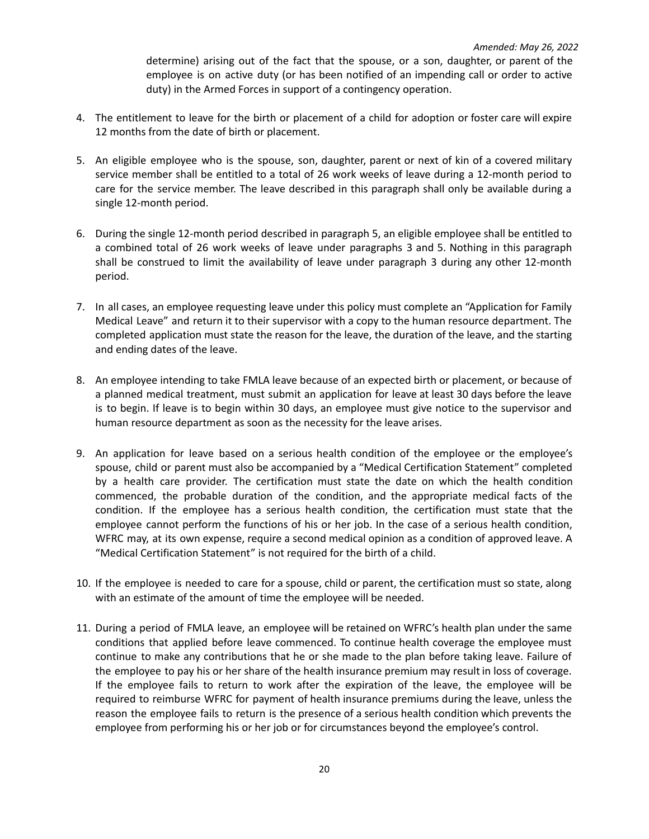determine) arising out of the fact that the spouse, or a son, daughter, or parent of the employee is on active duty (or has been notified of an impending call or order to active duty) in the Armed Forces in support of a contingency operation.

- 4. The entitlement to leave for the birth or placement of a child for adoption or foster care will expire 12 months from the date of birth or placement.
- 5. An eligible employee who is the spouse, son, daughter, parent or next of kin of a covered military service member shall be entitled to a total of 26 work weeks of leave during a 12-month period to care for the service member. The leave described in this paragraph shall only be available during a single 12-month period.
- 6. During the single 12-month period described in paragraph 5, an eligible employee shall be entitled to a combined total of 26 work weeks of leave under paragraphs 3 and 5. Nothing in this paragraph shall be construed to limit the availability of leave under paragraph 3 during any other 12-month period.
- 7. In all cases, an employee requesting leave under this policy must complete an "Application for Family Medical Leave" and return it to their supervisor with a copy to the human resource department. The completed application must state the reason for the leave, the duration of the leave, and the starting and ending dates of the leave.
- 8. An employee intending to take FMLA leave because of an expected birth or placement, or because of a planned medical treatment, must submit an application for leave at least 30 days before the leave is to begin. If leave is to begin within 30 days, an employee must give notice to the supervisor and human resource department as soon as the necessity for the leave arises.
- 9. An application for leave based on a serious health condition of the employee or the employee's spouse, child or parent must also be accompanied by a "Medical Certification Statement" completed by a health care provider. The certification must state the date on which the health condition commenced, the probable duration of the condition, and the appropriate medical facts of the condition. If the employee has a serious health condition, the certification must state that the employee cannot perform the functions of his or her job. In the case of a serious health condition, WFRC may, at its own expense, require a second medical opinion as a condition of approved leave. A "Medical Certification Statement" is not required for the birth of a child.
- 10. If the employee is needed to care for a spouse, child or parent, the certification must so state, along with an estimate of the amount of time the employee will be needed.
- 11. During a period of FMLA leave, an employee will be retained on WFRC's health plan under the same conditions that applied before leave commenced. To continue health coverage the employee must continue to make any contributions that he or she made to the plan before taking leave. Failure of the employee to pay his or her share of the health insurance premium may result in loss of coverage. If the employee fails to return to work after the expiration of the leave, the employee will be required to reimburse WFRC for payment of health insurance premiums during the leave, unless the reason the employee fails to return is the presence of a serious health condition which prevents the employee from performing his or her job or for circumstances beyond the employee's control.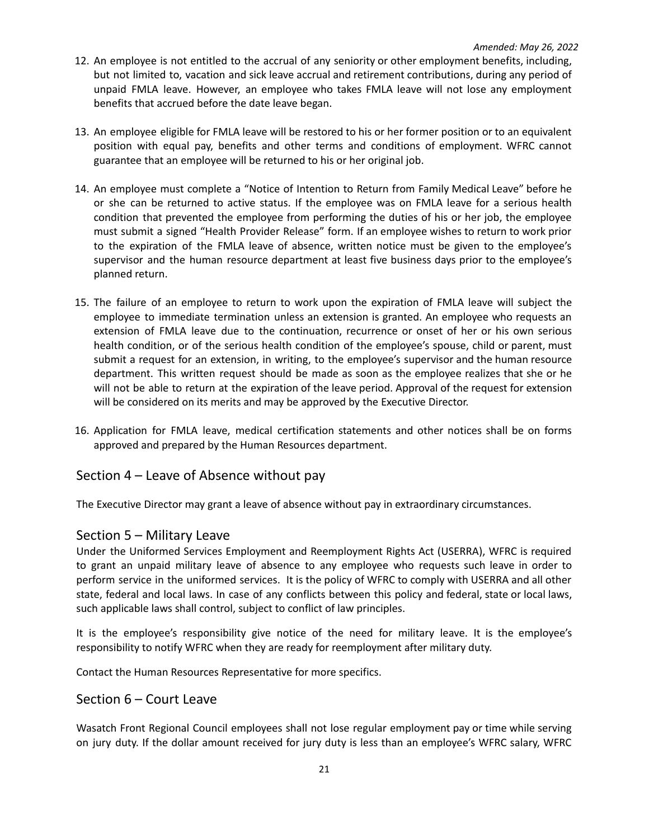- 12. An employee is not entitled to the accrual of any seniority or other employment benefits, including, but not limited to, vacation and sick leave accrual and retirement contributions, during any period of unpaid FMLA leave. However, an employee who takes FMLA leave will not lose any employment benefits that accrued before the date leave began.
- 13. An employee eligible for FMLA leave will be restored to his or her former position or to an equivalent position with equal pay, benefits and other terms and conditions of employment. WFRC cannot guarantee that an employee will be returned to his or her original job.
- 14. An employee must complete a "Notice of Intention to Return from Family Medical Leave" before he or she can be returned to active status. If the employee was on FMLA leave for a serious health condition that prevented the employee from performing the duties of his or her job, the employee must submit a signed "Health Provider Release" form. If an employee wishes to return to work prior to the expiration of the FMLA leave of absence, written notice must be given to the employee's supervisor and the human resource department at least five business days prior to the employee's planned return.
- 15. The failure of an employee to return to work upon the expiration of FMLA leave will subject the employee to immediate termination unless an extension is granted. An employee who requests an extension of FMLA leave due to the continuation, recurrence or onset of her or his own serious health condition, or of the serious health condition of the employee's spouse, child or parent, must submit a request for an extension, in writing, to the employee's supervisor and the human resource department. This written request should be made as soon as the employee realizes that she or he will not be able to return at the expiration of the leave period. Approval of the request for extension will be considered on its merits and may be approved by the Executive Director.
- 16. Application for FMLA leave, medical certification statements and other notices shall be on forms approved and prepared by the Human Resources department.

### <span id="page-20-0"></span>Section 4 – Leave of Absence without pay

The Executive Director may grant a leave of absence without pay in extraordinary circumstances.

### <span id="page-20-1"></span>Section 5 – Military Leave

Under the Uniformed Services Employment and Reemployment Rights Act (USERRA), WFRC is required to grant an unpaid military leave of absence to any employee who requests such leave in order to perform service in the uniformed services. It is the policy of WFRC to comply with USERRA and all other state, federal and local laws. In case of any conflicts between this policy and federal, state or local laws, such applicable laws shall control, subject to conflict of law principles.

It is the employee's responsibility give notice of the need for military leave. It is the employee's responsibility to notify WFRC when they are ready for reemployment after military duty.

Contact the Human Resources Representative for more specifics.

### <span id="page-20-2"></span>Section 6 – Court Leave

Wasatch Front Regional Council employees shall not lose regular employment pay or time while serving on jury duty. If the dollar amount received for jury duty is less than an employee's WFRC salary, WFRC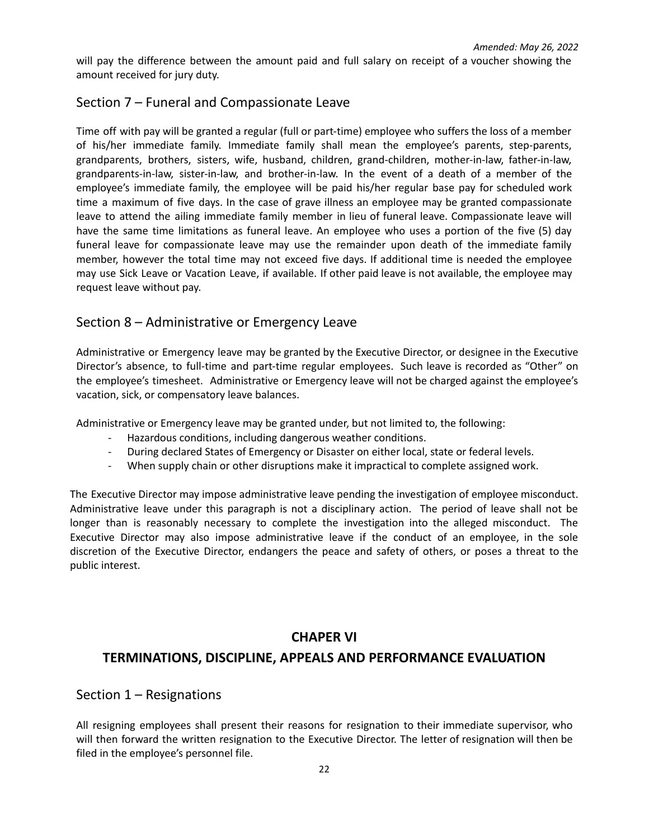will pay the difference between the amount paid and full salary on receipt of a voucher showing the amount received for jury duty.

## <span id="page-21-0"></span>Section 7 – Funeral and Compassionate Leave

Time off with pay will be granted a regular (full or part-time) employee who suffers the loss of a member of his/her immediate family. Immediate family shall mean the employee's parents, step-parents, grandparents, brothers, sisters, wife, husband, children, grand-children, mother-in-law, father-in-law, grandparents-in-law, sister-in-law, and brother-in-law. In the event of a death of a member of the employee's immediate family, the employee will be paid his/her regular base pay for scheduled work time a maximum of five days. In the case of grave illness an employee may be granted compassionate leave to attend the ailing immediate family member in lieu of funeral leave. Compassionate leave will have the same time limitations as funeral leave. An employee who uses a portion of the five (5) day funeral leave for compassionate leave may use the remainder upon death of the immediate family member, however the total time may not exceed five days. If additional time is needed the employee may use Sick Leave or Vacation Leave, if available. If other paid leave is not available, the employee may request leave without pay.

## Section 8 – Administrative or Emergency Leave

Administrative or Emergency leave may be granted by the Executive Director, or designee in the Executive Director's absence, to full-time and part-time regular employees. Such leave is recorded as "Other" on the employee's timesheet. Administrative or Emergency leave will not be charged against the employee's vacation, sick, or compensatory leave balances.

Administrative or Emergency leave may be granted under, but not limited to, the following:

- Hazardous conditions, including dangerous weather conditions.
- During declared States of Emergency or Disaster on either local, state or federal levels.
- When supply chain or other disruptions make it impractical to complete assigned work.

The Executive Director may impose administrative leave pending the investigation of employee misconduct. Administrative leave under this paragraph is not a disciplinary action. The period of leave shall not be longer than is reasonably necessary to complete the investigation into the alleged misconduct. The Executive Director may also impose administrative leave if the conduct of an employee, in the sole discretion of the Executive Director, endangers the peace and safety of others, or poses a threat to the public interest.

### **CHAPER VI**

### **TERMINATIONS, DISCIPLINE, APPEALS AND PERFORMANCE EVALUATION**

### Section 1 – Resignations

All resigning employees shall present their reasons for resignation to their immediate supervisor, who will then forward the written resignation to the Executive Director. The letter of resignation will then be filed in the employee's personnel file.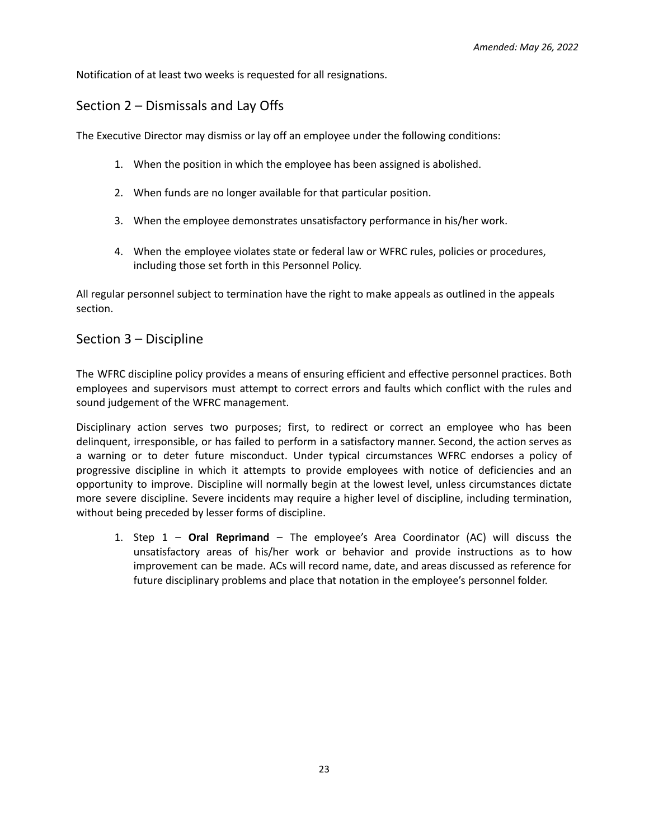Notification of at least two weeks is requested for all resignations.

## Section 2 – Dismissals and Lay Offs

The Executive Director may dismiss or lay off an employee under the following conditions:

- 1. When the position in which the employee has been assigned is abolished.
- 2. When funds are no longer available for that particular position.
- 3. When the employee demonstrates unsatisfactory performance in his/her work.
- 4. When the employee violates state or federal law or WFRC rules, policies or procedures, including those set forth in this Personnel Policy.

All regular personnel subject to termination have the right to make appeals as outlined in the appeals section.

### Section 3 – Discipline

The WFRC discipline policy provides a means of ensuring efficient and effective personnel practices. Both employees and supervisors must attempt to correct errors and faults which conflict with the rules and sound judgement of the WFRC management.

Disciplinary action serves two purposes; first, to redirect or correct an employee who has been delinquent, irresponsible, or has failed to perform in a satisfactory manner. Second, the action serves as a warning or to deter future misconduct. Under typical circumstances WFRC endorses a policy of progressive discipline in which it attempts to provide employees with notice of deficiencies and an opportunity to improve. Discipline will normally begin at the lowest level, unless circumstances dictate more severe discipline. Severe incidents may require a higher level of discipline, including termination, without being preceded by lesser forms of discipline.

1. Step 1 – **Oral Reprimand** – The employee's Area Coordinator (AC) will discuss the unsatisfactory areas of his/her work or behavior and provide instructions as to how improvement can be made. ACs will record name, date, and areas discussed as reference for future disciplinary problems and place that notation in the employee's personnel folder.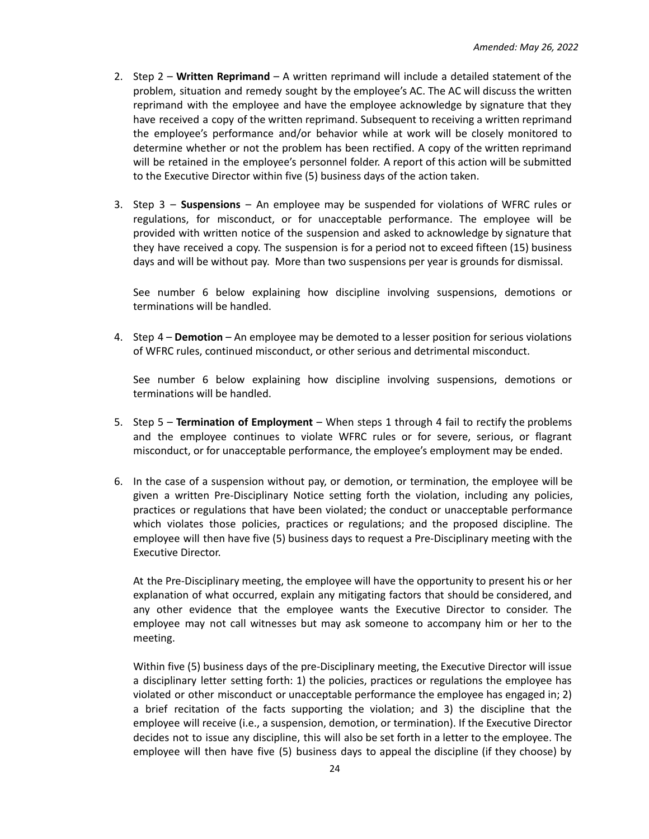- 2. Step 2 **Written Reprimand** A written reprimand will include a detailed statement of the problem, situation and remedy sought by the employee's AC. The AC will discuss the written reprimand with the employee and have the employee acknowledge by signature that they have received a copy of the written reprimand. Subsequent to receiving a written reprimand the employee's performance and/or behavior while at work will be closely monitored to determine whether or not the problem has been rectified. A copy of the written reprimand will be retained in the employee's personnel folder. A report of this action will be submitted to the Executive Director within five (5) business days of the action taken.
- 3. Step 3 **Suspensions** An employee may be suspended for violations of WFRC rules or regulations, for misconduct, or for unacceptable performance. The employee will be provided with written notice of the suspension and asked to acknowledge by signature that they have received a copy. The suspension is for a period not to exceed fifteen (15) business days and will be without pay. More than two suspensions per year is grounds for dismissal.

See number 6 below explaining how discipline involving suspensions, demotions or terminations will be handled.

4. Step 4 – **Demotion** – An employee may be demoted to a lesser position for serious violations of WFRC rules, continued misconduct, or other serious and detrimental misconduct.

See number 6 below explaining how discipline involving suspensions, demotions or terminations will be handled.

- 5. Step 5 **Termination of Employment** When steps 1 through 4 fail to rectify the problems and the employee continues to violate WFRC rules or for severe, serious, or flagrant misconduct, or for unacceptable performance, the employee's employment may be ended.
- 6. In the case of a suspension without pay, or demotion, or termination, the employee will be given a written Pre-Disciplinary Notice setting forth the violation, including any policies, practices or regulations that have been violated; the conduct or unacceptable performance which violates those policies, practices or regulations; and the proposed discipline. The employee will then have five (5) business days to request a Pre-Disciplinary meeting with the Executive Director.

At the Pre-Disciplinary meeting, the employee will have the opportunity to present his or her explanation of what occurred, explain any mitigating factors that should be considered, and any other evidence that the employee wants the Executive Director to consider. The employee may not call witnesses but may ask someone to accompany him or her to the meeting.

Within five (5) business days of the pre-Disciplinary meeting, the Executive Director will issue a disciplinary letter setting forth: 1) the policies, practices or regulations the employee has violated or other misconduct or unacceptable performance the employee has engaged in; 2) a brief recitation of the facts supporting the violation; and 3) the discipline that the employee will receive (i.e., a suspension, demotion, or termination). If the Executive Director decides not to issue any discipline, this will also be set forth in a letter to the employee. The employee will then have five (5) business days to appeal the discipline (if they choose) by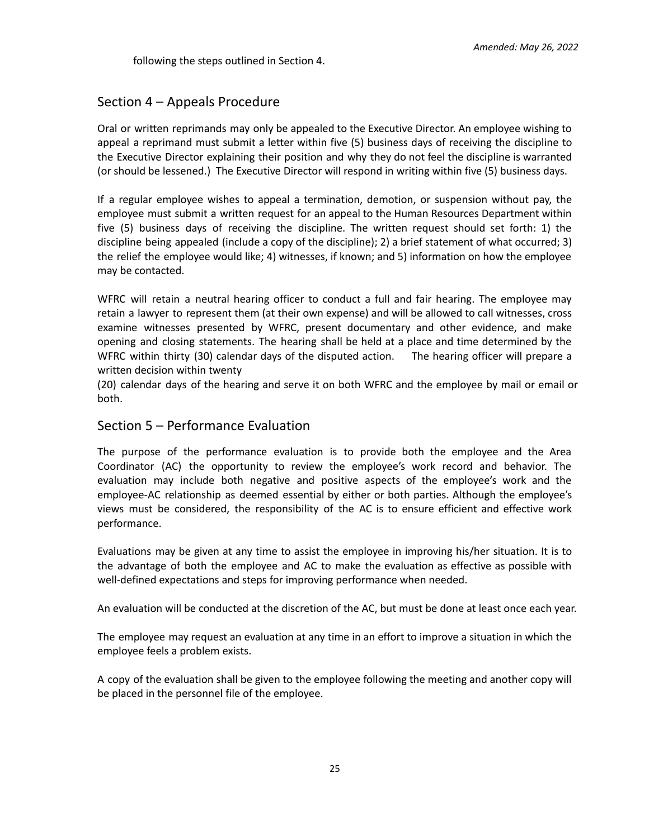following the steps outlined in Section 4.

### Section 4 – Appeals Procedure

Oral or written reprimands may only be appealed to the Executive Director. An employee wishing to appeal a reprimand must submit a letter within five (5) business days of receiving the discipline to the Executive Director explaining their position and why they do not feel the discipline is warranted (or should be lessened.) The Executive Director will respond in writing within five (5) business days.

If a regular employee wishes to appeal a termination, demotion, or suspension without pay, the employee must submit a written request for an appeal to the Human Resources Department within five (5) business days of receiving the discipline. The written request should set forth: 1) the discipline being appealed (include a copy of the discipline); 2) a brief statement of what occurred; 3) the relief the employee would like; 4) witnesses, if known; and 5) information on how the employee may be contacted.

WFRC will retain a neutral hearing officer to conduct a full and fair hearing. The employee may retain a lawyer to represent them (at their own expense) and will be allowed to call witnesses, cross examine witnesses presented by WFRC, present documentary and other evidence, and make opening and closing statements. The hearing shall be held at a place and time determined by the WFRC within thirty (30) calendar days of the disputed action. The hearing officer will prepare a written decision within twenty

(20) calendar days of the hearing and serve it on both WFRC and the employee by mail or email or both.

### Section 5 – Performance Evaluation

The purpose of the performance evaluation is to provide both the employee and the Area Coordinator (AC) the opportunity to review the employee's work record and behavior. The evaluation may include both negative and positive aspects of the employee's work and the employee-AC relationship as deemed essential by either or both parties. Although the employee's views must be considered, the responsibility of the AC is to ensure efficient and effective work performance.

Evaluations may be given at any time to assist the employee in improving his/her situation. It is to the advantage of both the employee and AC to make the evaluation as effective as possible with well-defined expectations and steps for improving performance when needed.

An evaluation will be conducted at the discretion of the AC, but must be done at least once each year.

The employee may request an evaluation at any time in an effort to improve a situation in which the employee feels a problem exists.

A copy of the evaluation shall be given to the employee following the meeting and another copy will be placed in the personnel file of the employee.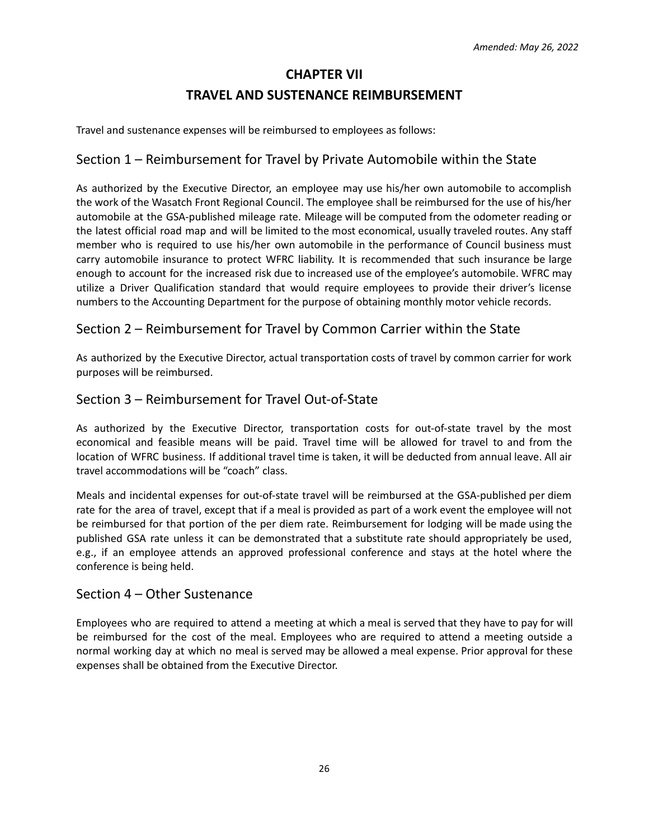## **CHAPTER VII**

### **TRAVEL AND SUSTENANCE REIMBURSEMENT**

Travel and sustenance expenses will be reimbursed to employees as follows:

### Section 1 – Reimbursement for Travel by Private Automobile within the State

As authorized by the Executive Director, an employee may use his/her own automobile to accomplish the work of the Wasatch Front Regional Council. The employee shall be reimbursed for the use of his/her automobile at the GSA-published mileage rate. Mileage will be computed from the odometer reading or the latest official road map and will be limited to the most economical, usually traveled routes. Any staff member who is required to use his/her own automobile in the performance of Council business must carry automobile insurance to protect WFRC liability. It is recommended that such insurance be large enough to account for the increased risk due to increased use of the employee's automobile. WFRC may utilize a Driver Qualification standard that would require employees to provide their driver's license numbers to the Accounting Department for the purpose of obtaining monthly motor vehicle records.

### Section 2 – Reimbursement for Travel by Common Carrier within the State

As authorized by the Executive Director, actual transportation costs of travel by common carrier for work purposes will be reimbursed.

### Section 3 – Reimbursement for Travel Out-of-State

As authorized by the Executive Director, transportation costs for out-of-state travel by the most economical and feasible means will be paid. Travel time will be allowed for travel to and from the location of WFRC business. If additional travel time is taken, it will be deducted from annual leave. All air travel accommodations will be "coach" class.

Meals and incidental expenses for out-of-state travel will be reimbursed at the GSA-published per diem rate for the area of travel, except that if a meal is provided as part of a work event the employee will not be reimbursed for that portion of the per diem rate. Reimbursement for lodging will be made using the published GSA rate unless it can be demonstrated that a substitute rate should appropriately be used, e.g., if an employee attends an approved professional conference and stays at the hotel where the conference is being held.

### Section 4 – Other Sustenance

Employees who are required to attend a meeting at which a meal is served that they have to pay for will be reimbursed for the cost of the meal. Employees who are required to attend a meeting outside a normal working day at which no meal is served may be allowed a meal expense. Prior approval for these expenses shall be obtained from the Executive Director.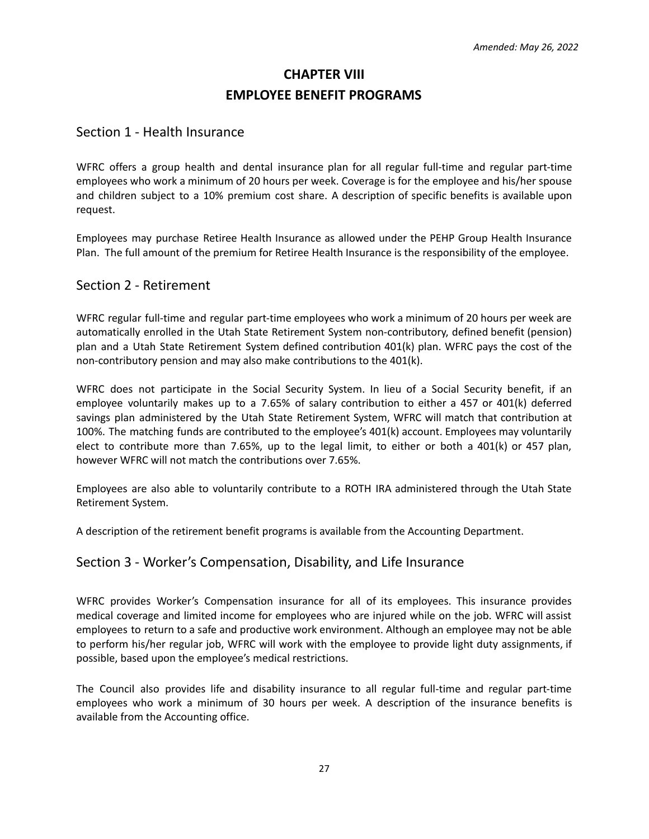# **CHAPTER VIII EMPLOYEE BENEFIT PROGRAMS**

### Section 1 - Health Insurance

WFRC offers a group health and dental insurance plan for all regular full-time and regular part-time employees who work a minimum of 20 hours per week. Coverage is for the employee and his/her spouse and children subject to a 10% premium cost share. A description of specific benefits is available upon request.

Employees may purchase Retiree Health Insurance as allowed under the PEHP Group Health Insurance Plan. The full amount of the premium for Retiree Health Insurance is the responsibility of the employee.

### Section 2 - Retirement

WFRC regular full-time and regular part-time employees who work a minimum of 20 hours per week are automatically enrolled in the Utah State Retirement System non-contributory, defined benefit (pension) plan and a Utah State Retirement System defined contribution 401(k) plan. WFRC pays the cost of the non-contributory pension and may also make contributions to the 401(k).

WFRC does not participate in the Social Security System. In lieu of a Social Security benefit, if an employee voluntarily makes up to a 7.65% of salary contribution to either a 457 or 401(k) deferred savings plan administered by the Utah State Retirement System, WFRC will match that contribution at 100%. The matching funds are contributed to the employee's 401(k) account. Employees may voluntarily elect to contribute more than 7.65%, up to the legal limit, to either or both a 401(k) or 457 plan, however WFRC will not match the contributions over 7.65%.

Employees are also able to voluntarily contribute to a ROTH IRA administered through the Utah State Retirement System.

A description of the retirement benefit programs is available from the Accounting Department.

### Section 3 - Worker's Compensation, Disability, and Life Insurance

WFRC provides Worker's Compensation insurance for all of its employees. This insurance provides medical coverage and limited income for employees who are injured while on the job. WFRC will assist employees to return to a safe and productive work environment. Although an employee may not be able to perform his/her regular job, WFRC will work with the employee to provide light duty assignments, if possible, based upon the employee's medical restrictions.

The Council also provides life and disability insurance to all regular full-time and regular part-time employees who work a minimum of 30 hours per week. A description of the insurance benefits is available from the Accounting office.